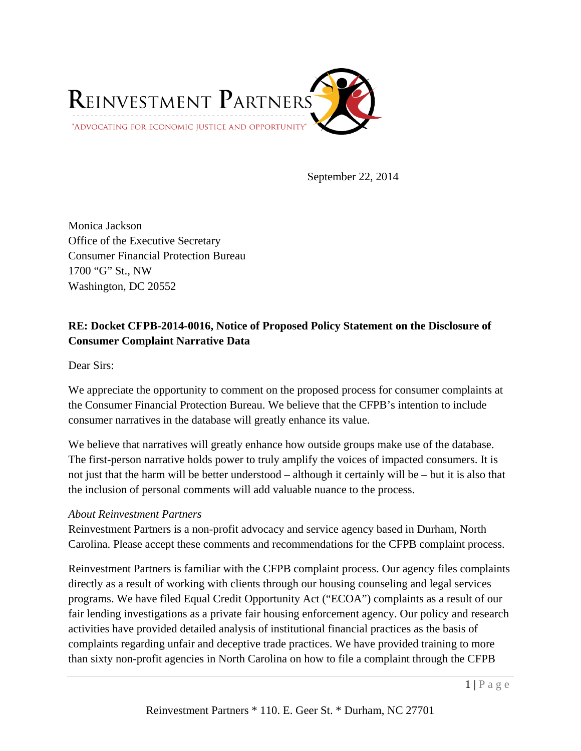

September 22, 2014

Monica Jackson Office of the Executive Secretary Consumer Financial Protection Bureau 1700 "G" St., NW Washington, DC 20552

# **RE: Docket CFPB-2014-0016, Notice of Proposed Policy Statement on the Disclosure of Consumer Complaint Narrative Data**

Dear Sirs:

We appreciate the opportunity to comment on the proposed process for consumer complaints at the Consumer Financial Protection Bureau. We believe that the CFPB's intention to include consumer narratives in the database will greatly enhance its value.

We believe that narratives will greatly enhance how outside groups make use of the database. The first-person narrative holds power to truly amplify the voices of impacted consumers. It is not just that the harm will be better understood – although it certainly will be – but it is also that the inclusion of personal comments will add valuable nuance to the process.

#### *About Reinvestment Partners*

Reinvestment Partners is a non-profit advocacy and service agency based in Durham, North Carolina. Please accept these comments and recommendations for the CFPB complaint process.

Reinvestment Partners is familiar with the CFPB complaint process. Our agency files complaints directly as a result of working with clients through our housing counseling and legal services programs. We have filed Equal Credit Opportunity Act ("ECOA") complaints as a result of our fair lending investigations as a private fair housing enforcement agency. Our policy and research activities have provided detailed analysis of institutional financial practices as the basis of complaints regarding unfair and deceptive trade practices. We have provided training to more than sixty non-profit agencies in North Carolina on how to file a complaint through the CFPB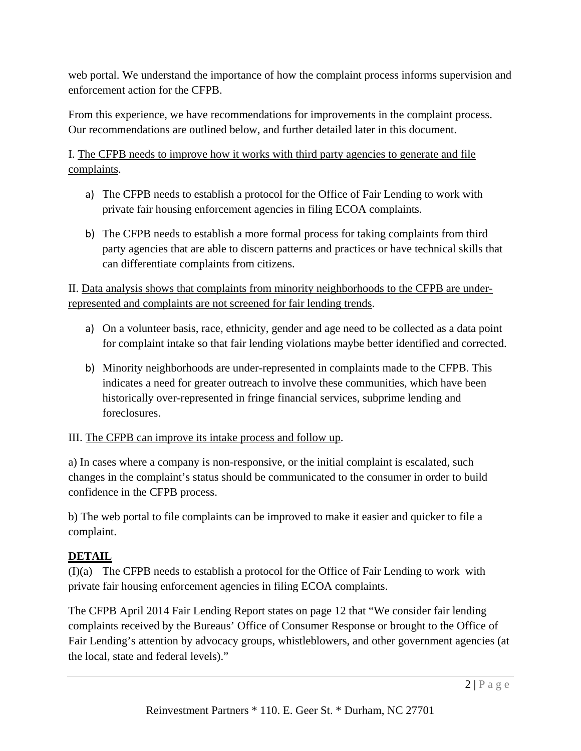web portal. We understand the importance of how the complaint process informs supervision and enforcement action for the CFPB.

From this experience, we have recommendations for improvements in the complaint process. Our recommendations are outlined below, and further detailed later in this document.

I. The CFPB needs to improve how it works with third party agencies to generate and file complaints.

- a) The CFPB needs to establish a protocol for the Office of Fair Lending to work with private fair housing enforcement agencies in filing ECOA complaints.
- b) The CFPB needs to establish a more formal process for taking complaints from third party agencies that are able to discern patterns and practices or have technical skills that can differentiate complaints from citizens.

II. Data analysis shows that complaints from minority neighborhoods to the CFPB are underrepresented and complaints are not screened for fair lending trends.

- a) On a volunteer basis, race, ethnicity, gender and age need to be collected as a data point for complaint intake so that fair lending violations maybe better identified and corrected.
- b) Minority neighborhoods are under-represented in complaints made to the CFPB. This indicates a need for greater outreach to involve these communities, which have been historically over-represented in fringe financial services, subprime lending and foreclosures.

# III. The CFPB can improve its intake process and follow up.

a) In cases where a company is non-responsive, or the initial complaint is escalated, such changes in the complaint's status should be communicated to the consumer in order to build confidence in the CFPB process.

b) The web portal to file complaints can be improved to make it easier and quicker to file a complaint.

# **DETAIL**

(I)(a) The CFPB needs to establish a protocol for the Office of Fair Lending to work with private fair housing enforcement agencies in filing ECOA complaints.

The CFPB April 2014 Fair Lending Report states on page 12 that "We consider fair lending complaints received by the Bureaus' Office of Consumer Response or brought to the Office of Fair Lending's attention by advocacy groups, whistleblowers, and other government agencies (at the local, state and federal levels)."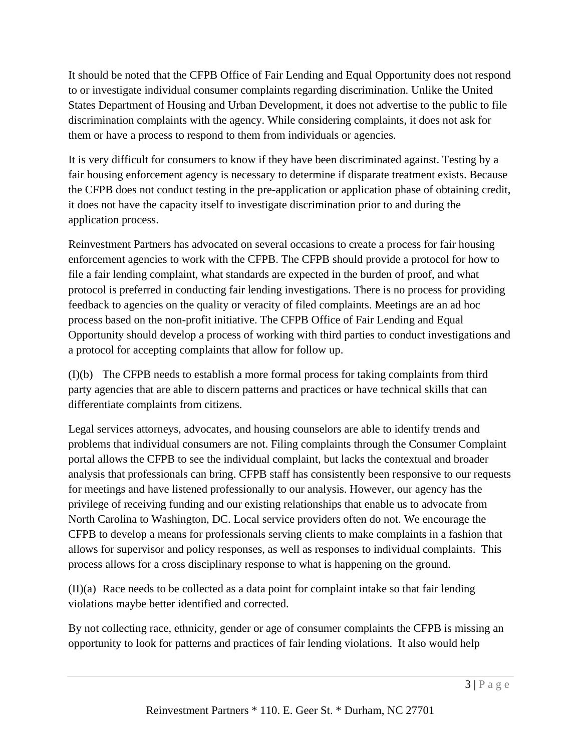It should be noted that the CFPB Office of Fair Lending and Equal Opportunity does not respond to or investigate individual consumer complaints regarding discrimination. Unlike the United States Department of Housing and Urban Development, it does not advertise to the public to file discrimination complaints with the agency. While considering complaints, it does not ask for them or have a process to respond to them from individuals or agencies.

It is very difficult for consumers to know if they have been discriminated against. Testing by a fair housing enforcement agency is necessary to determine if disparate treatment exists. Because the CFPB does not conduct testing in the pre-application or application phase of obtaining credit, it does not have the capacity itself to investigate discrimination prior to and during the application process.

Reinvestment Partners has advocated on several occasions to create a process for fair housing enforcement agencies to work with the CFPB. The CFPB should provide a protocol for how to file a fair lending complaint, what standards are expected in the burden of proof, and what protocol is preferred in conducting fair lending investigations. There is no process for providing feedback to agencies on the quality or veracity of filed complaints. Meetings are an ad hoc process based on the non-profit initiative. The CFPB Office of Fair Lending and Equal Opportunity should develop a process of working with third parties to conduct investigations and a protocol for accepting complaints that allow for follow up.

(I)(b) The CFPB needs to establish a more formal process for taking complaints from third party agencies that are able to discern patterns and practices or have technical skills that can differentiate complaints from citizens.

Legal services attorneys, advocates, and housing counselors are able to identify trends and problems that individual consumers are not. Filing complaints through the Consumer Complaint portal allows the CFPB to see the individual complaint, but lacks the contextual and broader analysis that professionals can bring. CFPB staff has consistently been responsive to our requests for meetings and have listened professionally to our analysis. However, our agency has the privilege of receiving funding and our existing relationships that enable us to advocate from North Carolina to Washington, DC. Local service providers often do not. We encourage the CFPB to develop a means for professionals serving clients to make complaints in a fashion that allows for supervisor and policy responses, as well as responses to individual complaints. This process allows for a cross disciplinary response to what is happening on the ground.

(II)(a) Race needs to be collected as a data point for complaint intake so that fair lending violations maybe better identified and corrected.

By not collecting race, ethnicity, gender or age of consumer complaints the CFPB is missing an opportunity to look for patterns and practices of fair lending violations. It also would help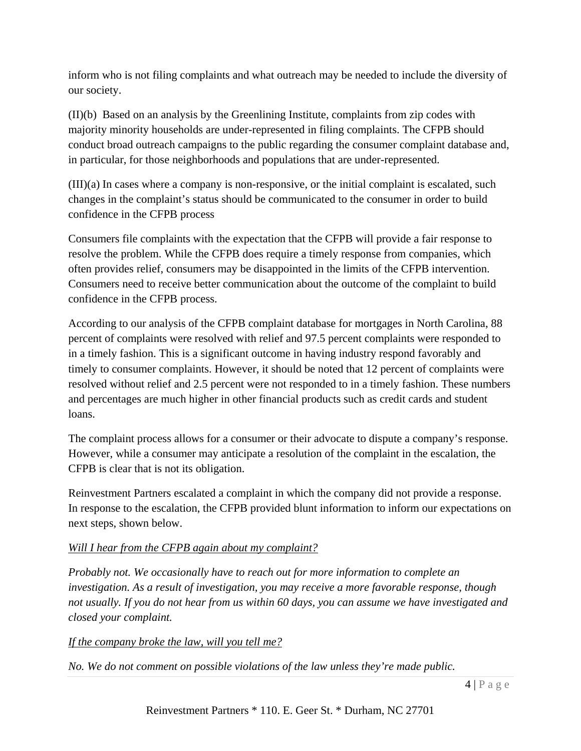inform who is not filing complaints and what outreach may be needed to include the diversity of our society.

(II)(b) Based on an analysis by the Greenlining Institute, complaints from zip codes with majority minority households are under-represented in filing complaints. The CFPB should conduct broad outreach campaigns to the public regarding the consumer complaint database and, in particular, for those neighborhoods and populations that are under-represented.

(III)(a) In cases where a company is non-responsive, or the initial complaint is escalated, such changes in the complaint's status should be communicated to the consumer in order to build confidence in the CFPB process

Consumers file complaints with the expectation that the CFPB will provide a fair response to resolve the problem. While the CFPB does require a timely response from companies, which often provides relief, consumers may be disappointed in the limits of the CFPB intervention. Consumers need to receive better communication about the outcome of the complaint to build confidence in the CFPB process.

According to our analysis of the CFPB complaint database for mortgages in North Carolina, 88 percent of complaints were resolved with relief and 97.5 percent complaints were responded to in a timely fashion. This is a significant outcome in having industry respond favorably and timely to consumer complaints. However, it should be noted that 12 percent of complaints were resolved without relief and 2.5 percent were not responded to in a timely fashion. These numbers and percentages are much higher in other financial products such as credit cards and student loans.

The complaint process allows for a consumer or their advocate to dispute a company's response. However, while a consumer may anticipate a resolution of the complaint in the escalation, the CFPB is clear that is not its obligation.

Reinvestment Partners escalated a complaint in which the company did not provide a response. In response to the escalation, the CFPB provided blunt information to inform our expectations on next steps, shown below.

# *Will I hear from the CFPB again about my complaint?*

*Probably not. We occasionally have to reach out for more information to complete an investigation. As a result of investigation, you may receive a more favorable response, though not usually. If you do not hear from us within 60 days, you can assume we have investigated and closed your complaint.* 

# *If the company broke the law, will you tell me?*

*No. We do not comment on possible violations of the law unless they're made public.*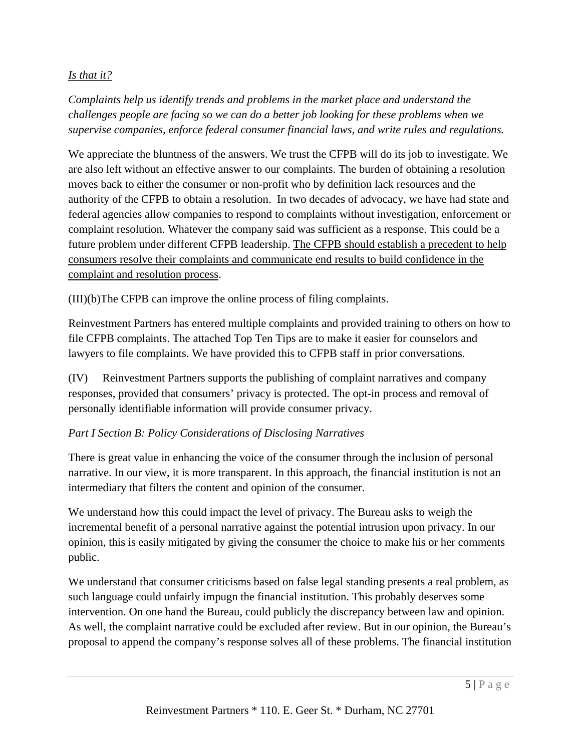### *Is that it?*

*Complaints help us identify trends and problems in the market place and understand the challenges people are facing so we can do a better job looking for these problems when we supervise companies, enforce federal consumer financial laws, and write rules and regulations.* 

We appreciate the bluntness of the answers. We trust the CFPB will do its job to investigate. We are also left without an effective answer to our complaints. The burden of obtaining a resolution moves back to either the consumer or non-profit who by definition lack resources and the authority of the CFPB to obtain a resolution. In two decades of advocacy, we have had state and federal agencies allow companies to respond to complaints without investigation, enforcement or complaint resolution. Whatever the company said was sufficient as a response. This could be a future problem under different CFPB leadership. The CFPB should establish a precedent to help consumers resolve their complaints and communicate end results to build confidence in the complaint and resolution process.

(III)(b)The CFPB can improve the online process of filing complaints.

Reinvestment Partners has entered multiple complaints and provided training to others on how to file CFPB complaints. The attached Top Ten Tips are to make it easier for counselors and lawyers to file complaints. We have provided this to CFPB staff in prior conversations.

(IV) Reinvestment Partners supports the publishing of complaint narratives and company responses, provided that consumers' privacy is protected. The opt-in process and removal of personally identifiable information will provide consumer privacy.

# *Part I Section B: Policy Considerations of Disclosing Narratives*

There is great value in enhancing the voice of the consumer through the inclusion of personal narrative. In our view, it is more transparent. In this approach, the financial institution is not an intermediary that filters the content and opinion of the consumer.

We understand how this could impact the level of privacy. The Bureau asks to weigh the incremental benefit of a personal narrative against the potential intrusion upon privacy. In our opinion, this is easily mitigated by giving the consumer the choice to make his or her comments public.

We understand that consumer criticisms based on false legal standing presents a real problem, as such language could unfairly impugn the financial institution. This probably deserves some intervention. On one hand the Bureau, could publicly the discrepancy between law and opinion. As well, the complaint narrative could be excluded after review. But in our opinion, the Bureau's proposal to append the company's response solves all of these problems. The financial institution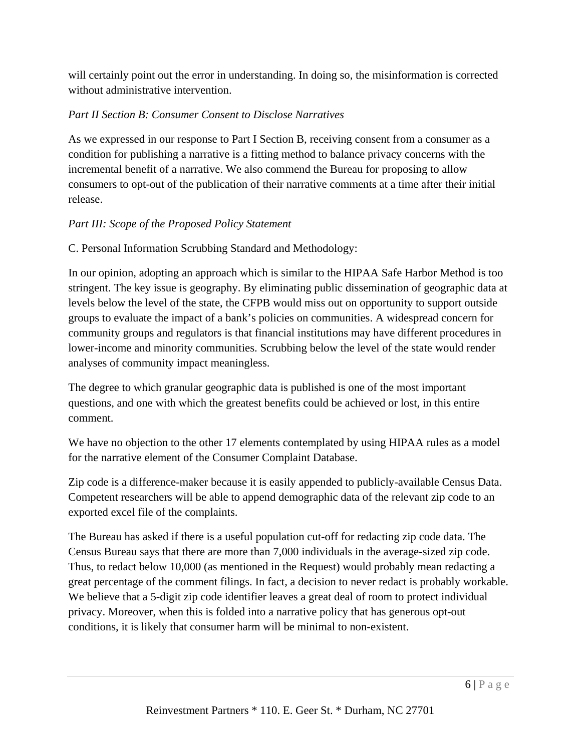will certainly point out the error in understanding. In doing so, the misinformation is corrected without administrative intervention.

### *Part II Section B: Consumer Consent to Disclose Narratives*

As we expressed in our response to Part I Section B, receiving consent from a consumer as a condition for publishing a narrative is a fitting method to balance privacy concerns with the incremental benefit of a narrative. We also commend the Bureau for proposing to allow consumers to opt-out of the publication of their narrative comments at a time after their initial release.

### *Part III: Scope of the Proposed Policy Statement*

C. Personal Information Scrubbing Standard and Methodology:

In our opinion, adopting an approach which is similar to the HIPAA Safe Harbor Method is too stringent. The key issue is geography. By eliminating public dissemination of geographic data at levels below the level of the state, the CFPB would miss out on opportunity to support outside groups to evaluate the impact of a bank's policies on communities. A widespread concern for community groups and regulators is that financial institutions may have different procedures in lower-income and minority communities. Scrubbing below the level of the state would render analyses of community impact meaningless.

The degree to which granular geographic data is published is one of the most important questions, and one with which the greatest benefits could be achieved or lost, in this entire comment.

We have no objection to the other 17 elements contemplated by using HIPAA rules as a model for the narrative element of the Consumer Complaint Database.

Zip code is a difference-maker because it is easily appended to publicly-available Census Data. Competent researchers will be able to append demographic data of the relevant zip code to an exported excel file of the complaints.

The Bureau has asked if there is a useful population cut-off for redacting zip code data. The Census Bureau says that there are more than 7,000 individuals in the average-sized zip code. Thus, to redact below 10,000 (as mentioned in the Request) would probably mean redacting a great percentage of the comment filings. In fact, a decision to never redact is probably workable. We believe that a 5-digit zip code identifier leaves a great deal of room to protect individual privacy. Moreover, when this is folded into a narrative policy that has generous opt-out conditions, it is likely that consumer harm will be minimal to non-existent.